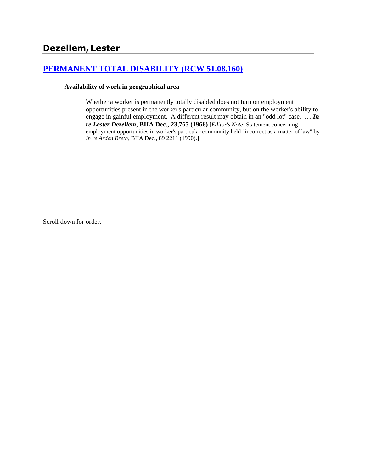# **[PERMANENT TOTAL DISABILITY \(RCW 51.08.160\)](http://www.biia.wa.gov/SDSubjectIndex.html#PERMANENT_TOTAL_DISABILITY)**

#### **Availability of work in geographical area**

Whether a worker is permanently totally disabled does not turn on employment opportunities present in the worker's particular community, but on the worker's ability to engage in gainful employment. A different result may obtain in an "odd lot" case. **….***In re Lester Dezellem***, BIIA Dec., 23,765 (1966)** [*Editor's Note*: Statement concerning employment opportunities in worker's particular community held "incorrect as a matter of law" by *In re Arden Breth*, BIIA Dec., 89 2211 (1990).]

Scroll down for order.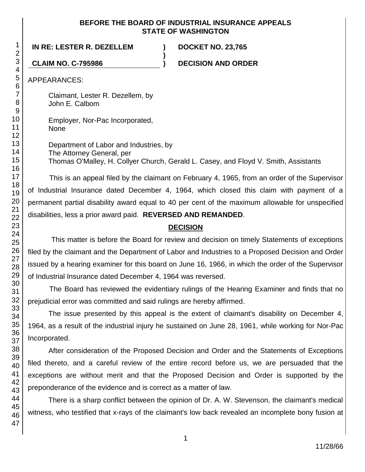### **BEFORE THE BOARD OF INDUSTRIAL INSURANCE APPEALS STATE OF WASHINGTON**

**)**

## **IN RE: LESTER R. DEZELLEM ) DOCKET NO. 23,765**

**CLAIM NO. C-795986 ) DECISION AND ORDER**

APPEARANCES:

Claimant, Lester R. Dezellem, by John E. Calbom

Employer, Nor-Pac Incorporated, None

Department of Labor and Industries, by The Attorney General, per Thomas O'Malley, H. Collyer Church, Gerald L. Casey, and Floyd V. Smith, Assistants

This is an appeal filed by the claimant on February 4, 1965, from an order of the Supervisor of Industrial Insurance dated December 4, 1964, which closed this claim with payment of a permanent partial disability award equal to 40 per cent of the maximum allowable for unspecified disabilities, less a prior award paid. **REVERSED AND REMANDED**.

# **DECISION**

This matter is before the Board for review and decision on timely Statements of exceptions filed by the claimant and the Department of Labor and Industries to a Proposed Decision and Order issued by a hearing examiner for this board on June 16, 1966, in which the order of the Supervisor of Industrial Insurance dated December 4, 1964 was reversed.

The Board has reviewed the evidentiary rulings of the Hearing Examiner and finds that no prejudicial error was committed and said rulings are hereby affirmed.

The issue presented by this appeal is the extent of claimant's disability on December 4, 1964, as a result of the industrial injury he sustained on June 28, 1961, while working for Nor-Pac Incorporated.

After consideration of the Proposed Decision and Order and the Statements of Exceptions filed thereto, and a careful review of the entire record before us, we are persuaded that the exceptions are without merit and that the Proposed Decision and Order is supported by the preponderance of the evidence and is correct as a matter of law.

There is a sharp conflict between the opinion of Dr. A. W. Stevenson, the claimant's medical witness, who testified that x-rays of the claimant's low back revealed an incomplete bony fusion at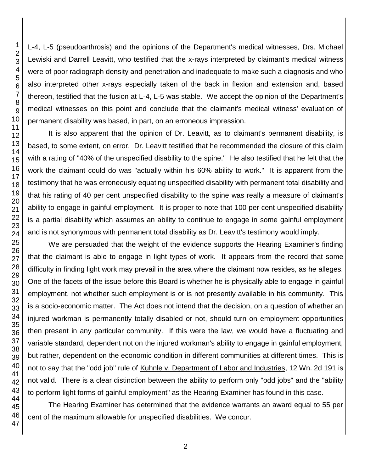L-4, L-5 (pseudoarthrosis) and the opinions of the Department's medical witnesses, Drs. Michael Lewiski and Darrell Leavitt, who testified that the x-rays interpreted by claimant's medical witness were of poor radiograph density and penetration and inadequate to make such a diagnosis and who also interpreted other x-rays especially taken of the back in flexion and extension and, based thereon, testified that the fusion at L-4, L-5 was stable. We accept the opinion of the Department's medical witnesses on this point and conclude that the claimant's medical witness' evaluation of permanent disability was based, in part, on an erroneous impression.

It is also apparent that the opinion of Dr. Leavitt, as to claimant's permanent disability, is based, to some extent, on error. Dr. Leavitt testified that he recommended the closure of this claim with a rating of "40% of the unspecified disability to the spine." He also testified that he felt that the work the claimant could do was "actually within his 60% ability to work." It is apparent from the testimony that he was erroneously equating unspecified disability with permanent total disability and that his rating of 40 per cent unspecified disability to the spine was really a measure of claimant's ability to engage in gainful employment. It is proper to note that 100 per cent unspecified disability is a partial disability which assumes an ability to continue to engage in some gainful employment and is not synonymous with permanent total disability as Dr. Leavitt's testimony would imply.

We are persuaded that the weight of the evidence supports the Hearing Examiner's finding that the claimant is able to engage in light types of work. It appears from the record that some difficulty in finding light work may prevail in the area where the claimant now resides, as he alleges. One of the facets of the issue before this Board is whether he is physically able to engage in gainful employment, not whether such employment is or is not presently available in his community. This is a socio-economic matter. The Act does not intend that the decision, on a question of whether an injured workman is permanently totally disabled or not, should turn on employment opportunities then present in any particular community. If this were the law, we would have a fluctuating and variable standard, dependent not on the injured workman's ability to engage in gainful employment, but rather, dependent on the economic condition in different communities at different times. This is not to say that the "odd job" rule of Kuhnle v. Department of Labor and Industries, 12 Wn. 2d 191 is not valid. There is a clear distinction between the ability to perform only "odd jobs" and the "ability to perform light forms of gainful employment" as the Hearing Examiner has found in this case.

The Hearing Examiner has determined that the evidence warrants an award equal to 55 per cent of the maximum allowable for unspecified disabilities. We concur.